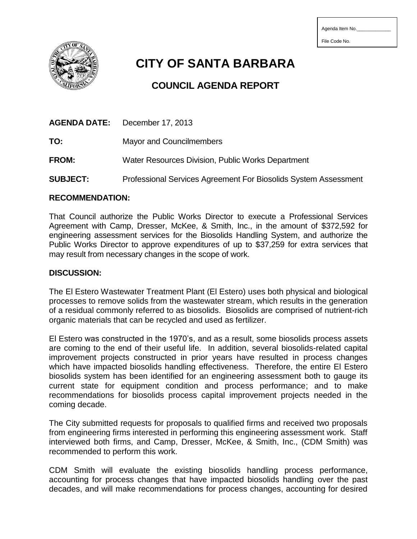File Code No.

**CITY OF SANTA BARBARA**

# **COUNCIL AGENDA REPORT**

| AGENDA DATE: | December 17, 2013                                 |
|--------------|---------------------------------------------------|
| TO:          | Mayor and Councilmembers                          |
| <b>FROM:</b> | Water Resources Division, Public Works Department |

**SUBJECT:** Professional Services Agreement For Biosolids System Assessment

### **RECOMMENDATION:**

That Council authorize the Public Works Director to execute a Professional Services Agreement with Camp, Dresser, McKee, & Smith, Inc., in the amount of \$372,592 for engineering assessment services for the Biosolids Handling System, and authorize the Public Works Director to approve expenditures of up to \$37,259 for extra services that may result from necessary changes in the scope of work.

## **DISCUSSION:**

The El Estero Wastewater Treatment Plant (El Estero) uses both physical and biological processes to remove solids from the wastewater stream, which results in the generation of a residual commonly referred to as biosolids. Biosolids are comprised of nutrient-rich organic materials that can be recycled and used as fertilizer.

El Estero was constructed in the 1970's, and as a result, some biosolids process assets are coming to the end of their useful life. In addition, several biosolids-related capital improvement projects constructed in prior years have resulted in process changes which have impacted biosolids handling effectiveness. Therefore, the entire El Estero biosolids system has been identified for an engineering assessment both to gauge its current state for equipment condition and process performance; and to make recommendations for biosolids process capital improvement projects needed in the coming decade.

The City submitted requests for proposals to qualified firms and received two proposals from engineering firms interested in performing this engineering assessment work. Staff interviewed both firms, and Camp, Dresser, McKee, & Smith, Inc., (CDM Smith) was recommended to perform this work.

CDM Smith will evaluate the existing biosolids handling process performance, accounting for process changes that have impacted biosolids handling over the past decades, and will make recommendations for process changes, accounting for desired